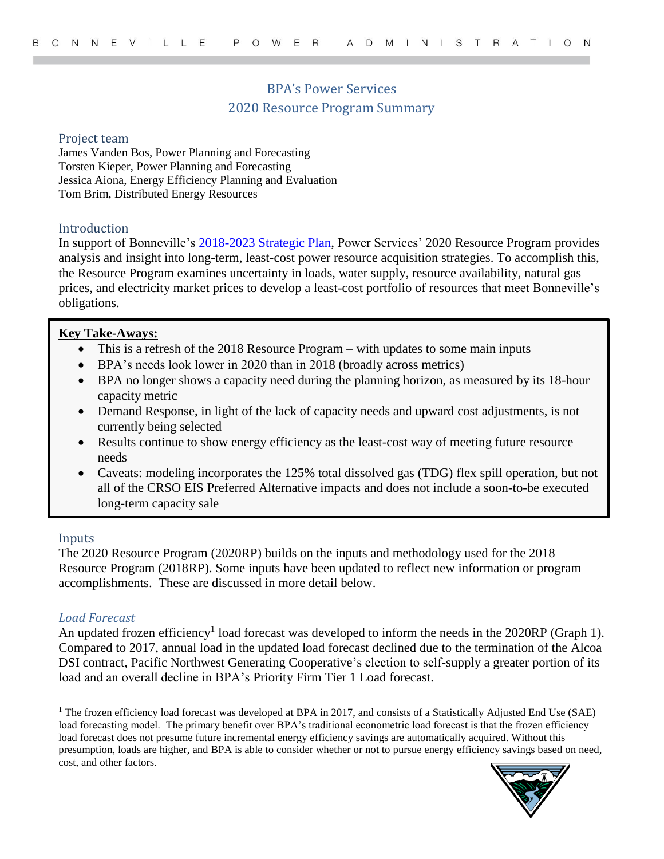# BPA's Power Services 2020 Resource Program Summary

#### Project team

James Vanden Bos, Power Planning and Forecasting Torsten Kieper, Power Planning and Forecasting Jessica Aiona, Energy Efficiency Planning and Evaluation Tom Brim, Distributed Energy Resources

### Introduction

In support of Bonneville's [2018-2023 Strategic Plan,](https://www.bpa.gov/StrategicPlan/Pages/Strategic-Plan.aspx) Power Services' 2020 Resource Program provides analysis and insight into long-term, least-cost power resource acquisition strategies. To accomplish this, the Resource Program examines uncertainty in loads, water supply, resource availability, natural gas prices, and electricity market prices to develop a least-cost portfolio of resources that meet Bonneville's obligations.

### **Key Take-Aways:**

- This is a refresh of the 2018 Resource Program with updates to some main inputs
- BPA's needs look lower in 2020 than in 2018 (broadly across metrics)
- BPA no longer shows a capacity need during the planning horizon, as measured by its 18-hour capacity metric
- Demand Response, in light of the lack of capacity needs and upward cost adjustments, is not currently being selected
- Results continue to show energy efficiency as the least-cost way of meeting future resource needs
- Caveats: modeling incorporates the 125% total dissolved gas (TDG) flex spill operation, but not all of the CRSO EIS Preferred Alternative impacts and does not include a soon-to-be executed long-term capacity sale

#### Inputs

 $\overline{a}$ 

The 2020 Resource Program (2020RP) builds on the inputs and methodology used for the 2018 Resource Program (2018RP). Some inputs have been updated to reflect new information or program accomplishments. These are discussed in more detail below.

### *Load Forecast*

An updated frozen efficiency<sup>1</sup> load forecast was developed to inform the needs in the  $2020RP$  (Graph 1). Compared to 2017, annual load in the updated load forecast declined due to the termination of the Alcoa DSI contract, Pacific Northwest Generating Cooperative's election to self-supply a greater portion of its load and an overall decline in BPA's Priority Firm Tier 1 Load forecast.

<sup>&</sup>lt;sup>1</sup> The frozen efficiency load forecast was developed at BPA in 2017, and consists of a Statistically Adjusted End Use (SAE) load forecasting model. The primary benefit over BPA's traditional econometric load forecast is that the frozen efficiency load forecast does not presume future incremental energy efficiency savings are automatically acquired. Without this presumption, loads are higher, and BPA is able to consider whether or not to pursue energy efficiency savings based on need, cost, and other factors.

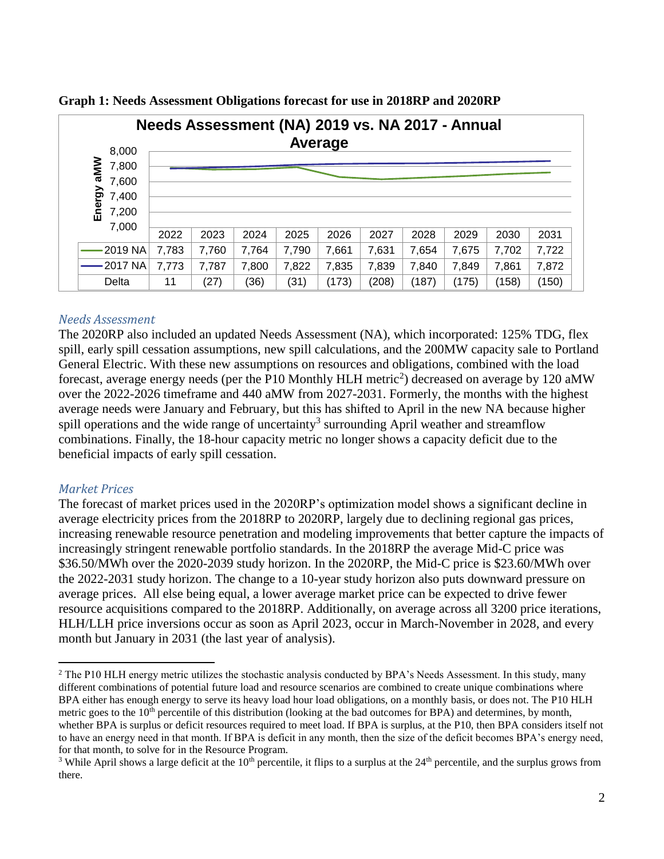| Needs Assessment (NA) 2019 vs. NA 2017 - Annual |       |       |       |       |         |       |       |       |       |       |  |
|-------------------------------------------------|-------|-------|-------|-------|---------|-------|-------|-------|-------|-------|--|
| 8,000                                           |       |       |       |       | Average |       |       |       |       |       |  |
| aMM<br>7,800                                    |       |       |       |       |         |       |       |       |       |       |  |
| 7,600                                           |       |       |       |       |         |       |       |       |       |       |  |
| 7,400                                           |       |       |       |       |         |       |       |       |       |       |  |
| Energy<br>7,200                                 |       |       |       |       |         |       |       |       |       |       |  |
| 7,000                                           | 2022  | 2023  | 2024  | 2025  | 2026    | 2027  | 2028  | 2029  | 2030  | 2031  |  |
|                                                 |       |       |       |       |         |       |       |       |       |       |  |
| -2019 NA                                        | 7,783 | 7,760 | 7,764 | 7,790 | 7,661   | 7,631 | 7,654 | 7,675 | 7,702 | 7,722 |  |
| $-2017$ NA                                      | 7,773 | 7,787 | 7,800 | 7,822 | 7,835   | 7,839 | 7,840 | 7,849 | 7,861 | 7,872 |  |
| Delta                                           | 11    | (27)  | (36)  | (31)  | (173)   | (208) | (187) | (175) | (158) | (150) |  |

**Graph 1: Needs Assessment Obligations forecast for use in 2018RP and 2020RP**

### *Needs Assessment*

The 2020RP also included an updated Needs Assessment (NA), which incorporated: 125% TDG, flex spill, early spill cessation assumptions, new spill calculations, and the 200MW capacity sale to Portland General Electric. With these new assumptions on resources and obligations, combined with the load forecast, average energy needs (per the P10 Monthly HLH metric<sup>2</sup>) decreased on average by 120 aMW over the 2022-2026 timeframe and 440 aMW from 2027-2031. Formerly, the months with the highest average needs were January and February, but this has shifted to April in the new NA because higher spill operations and the wide range of uncertainty<sup>3</sup> surrounding April weather and streamflow combinations. Finally, the 18-hour capacity metric no longer shows a capacity deficit due to the beneficial impacts of early spill cessation.

### *Market Prices*

 $\overline{a}$ 

The forecast of market prices used in the 2020RP's optimization model shows a significant decline in average electricity prices from the 2018RP to 2020RP, largely due to declining regional gas prices, increasing renewable resource penetration and modeling improvements that better capture the impacts of increasingly stringent renewable portfolio standards. In the 2018RP the average Mid-C price was \$36.50/MWh over the 2020-2039 study horizon. In the 2020RP, the Mid-C price is \$23.60/MWh over the 2022-2031 study horizon. The change to a 10-year study horizon also puts downward pressure on average prices. All else being equal, a lower average market price can be expected to drive fewer resource acquisitions compared to the 2018RP. Additionally, on average across all 3200 price iterations, HLH/LLH price inversions occur as soon as April 2023, occur in March-November in 2028, and every month but January in 2031 (the last year of analysis).

<sup>&</sup>lt;sup>2</sup> The P10 HLH energy metric utilizes the stochastic analysis conducted by BPA's Needs Assessment. In this study, many different combinations of potential future load and resource scenarios are combined to create unique combinations where BPA either has enough energy to serve its heavy load hour load obligations, on a monthly basis, or does not. The P10 HLH metric goes to the  $10<sup>th</sup>$  percentile of this distribution (looking at the bad outcomes for BPA) and determines, by month, whether BPA is surplus or deficit resources required to meet load. If BPA is surplus, at the P10, then BPA considers itself not to have an energy need in that month. If BPA is deficit in any month, then the size of the deficit becomes BPA's energy need, for that month, to solve for in the Resource Program.

<sup>&</sup>lt;sup>3</sup> While April shows a large deficit at the 10<sup>th</sup> percentile, it flips to a surplus at the 24<sup>th</sup> percentile, and the surplus grows from there.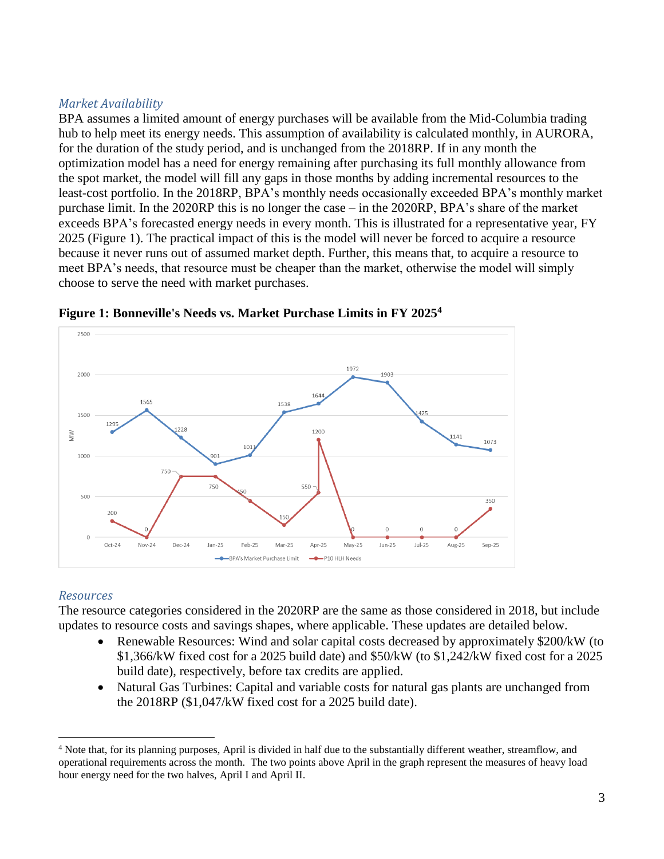## *Market Availability*

BPA assumes a limited amount of energy purchases will be available from the Mid-Columbia trading hub to help meet its energy needs. This assumption of availability is calculated monthly, in AURORA, for the duration of the study period, and is unchanged from the 2018RP. If in any month the optimization model has a need for energy remaining after purchasing its full monthly allowance from the spot market, the model will fill any gaps in those months by adding incremental resources to the least-cost portfolio. In the 2018RP, BPA's monthly needs occasionally exceeded BPA's monthly market purchase limit. In the 2020RP this is no longer the case – in the 2020RP, BPA's share of the market exceeds BPA's forecasted energy needs in every month. This is illustrated for a representative year, FY 2025 (Figure 1). The practical impact of this is the model will never be forced to acquire a resource because it never runs out of assumed market depth. Further, this means that, to acquire a resource to meet BPA's needs, that resource must be cheaper than the market, otherwise the model will simply choose to serve the need with market purchases.





## *Resources*

 $\overline{a}$ 

The resource categories considered in the 2020RP are the same as those considered in 2018, but include updates to resource costs and savings shapes, where applicable. These updates are detailed below.

- Renewable Resources: Wind and solar capital costs decreased by approximately \$200/kW (to \$1,366/kW fixed cost for a 2025 build date) and \$50/kW (to \$1,242/kW fixed cost for a 2025 build date), respectively, before tax credits are applied.
- Natural Gas Turbines: Capital and variable costs for natural gas plants are unchanged from the 2018RP (\$1,047/kW fixed cost for a 2025 build date).

<sup>4</sup> Note that, for its planning purposes, April is divided in half due to the substantially different weather, streamflow, and operational requirements across the month. The two points above April in the graph represent the measures of heavy load hour energy need for the two halves, April I and April II.